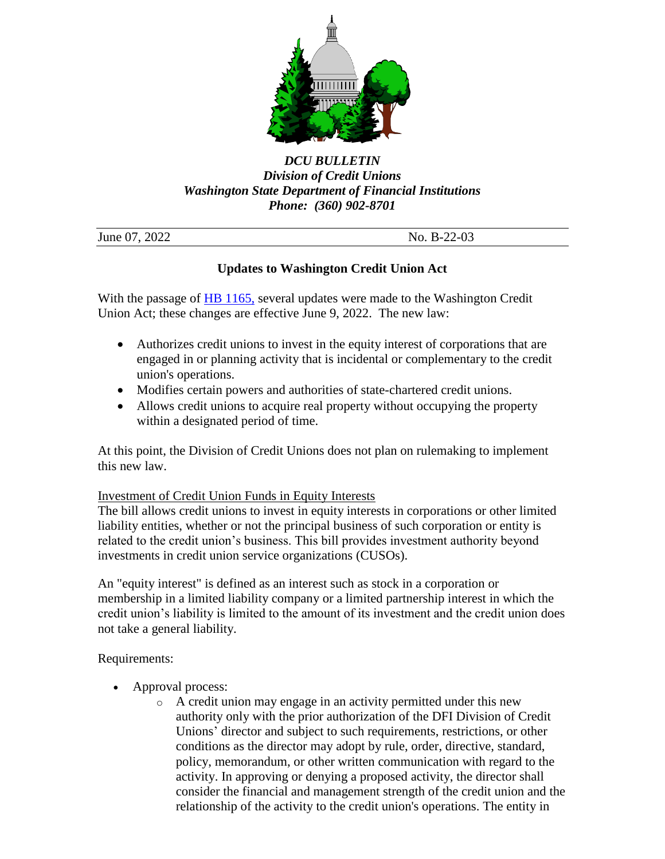

## *DCU BULLETIN Division of Credit Unions Washington State Department of Financial Institutions Phone: (360) 902-8701*

| June 07, 2022 | No. $B-22-03$ |
|---------------|---------------|

# **Updates to Washington Credit Union Act**

With the passage of [HB 1165,](https://lawfilesext.leg.wa.gov/biennium/2021-22/Pdf/Bills/Session%20Laws/House/1165.SL.pdf?q=20220602160513) several updates were made to the Washington Credit Union Act; these changes are effective June 9, 2022. The new law:

- Authorizes credit unions to invest in the equity interest of corporations that are engaged in or planning activity that is incidental or complementary to the credit union's operations.
- Modifies certain powers and authorities of state-chartered credit unions.
- Allows credit unions to acquire real property without occupying the property within a designated period of time.

At this point, the Division of Credit Unions does not plan on rulemaking to implement this new law.

## Investment of Credit Union Funds in Equity Interests

The bill allows credit unions to invest in equity interests in corporations or other limited liability entities, whether or not the principal business of such corporation or entity is related to the credit union's business. This bill provides investment authority beyond investments in credit union service organizations (CUSOs).

An "equity interest" is defined as an interest such as stock in a corporation or membership in a limited liability company or a limited partnership interest in which the credit union's liability is limited to the amount of its investment and the credit union does not take a general liability.

Requirements:

- Approval process:
	- o A credit union may engage in an activity permitted under this new authority only with the prior authorization of the DFI Division of Credit Unions' director and subject to such requirements, restrictions, or other conditions as the director may adopt by rule, order, directive, standard, policy, memorandum, or other written communication with regard to the activity. In approving or denying a proposed activity, the director shall consider the financial and management strength of the credit union and the relationship of the activity to the credit union's operations. The entity in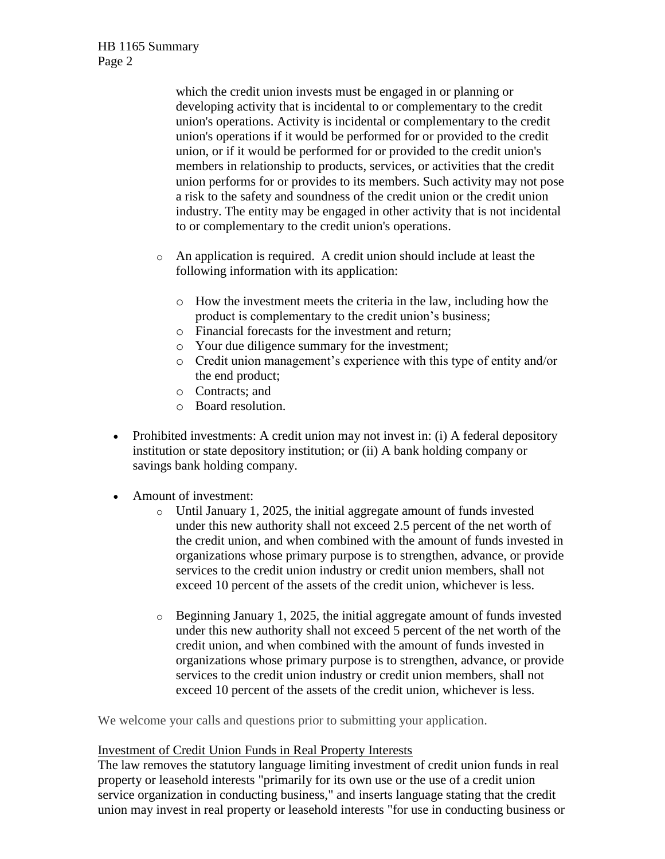which the credit union invests must be engaged in or planning or developing activity that is incidental to or complementary to the credit union's operations. Activity is incidental or complementary to the credit union's operations if it would be performed for or provided to the credit union, or if it would be performed for or provided to the credit union's members in relationship to products, services, or activities that the credit union performs for or provides to its members. Such activity may not pose a risk to the safety and soundness of the credit union or the credit union industry. The entity may be engaged in other activity that is not incidental to or complementary to the credit union's operations.

- o An application is required. A credit union should include at least the following information with its application:
	- o How the investment meets the criteria in the law, including how the product is complementary to the credit union's business;
	- o Financial forecasts for the investment and return;
	- o Your due diligence summary for the investment;
	- o Credit union management's experience with this type of entity and/or the end product;
	- o Contracts; and
	- o Board resolution.
- Prohibited investments: A credit union may not invest in: (i) A federal depository institution or state depository institution; or (ii) A bank holding company or savings bank holding company.
- Amount of investment:
	- o Until January 1, 2025, the initial aggregate amount of funds invested under this new authority shall not exceed 2.5 percent of the net worth of the credit union, and when combined with the amount of funds invested in organizations whose primary purpose is to strengthen, advance, or provide services to the credit union industry or credit union members, shall not exceed 10 percent of the assets of the credit union, whichever is less.
	- $\circ$  Beginning January 1, 2025, the initial aggregate amount of funds invested under this new authority shall not exceed 5 percent of the net worth of the credit union, and when combined with the amount of funds invested in organizations whose primary purpose is to strengthen, advance, or provide services to the credit union industry or credit union members, shall not exceed 10 percent of the assets of the credit union, whichever is less.

We welcome your calls and questions prior to submitting your application.

## Investment of Credit Union Funds in Real Property Interests

The law removes the statutory language limiting investment of credit union funds in real property or leasehold interests "primarily for its own use or the use of a credit union service organization in conducting business," and inserts language stating that the credit union may invest in real property or leasehold interests "for use in conducting business or